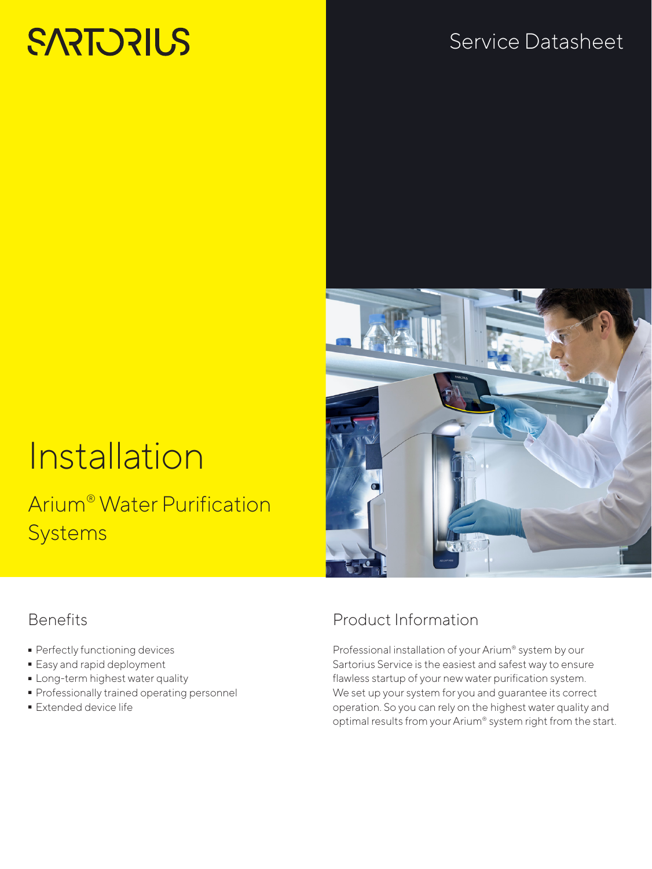# **SARTORIUS**

## Service Datasheet

# Installation

## Arium® Water Purification **Systems**

#### Benefits

- Perfectly functioning devices<br>• Easy and rapid deployment
- 
- **-** Long-term highest water quality
- Long-term highest water quality - Professionally trained operating personnel
- **Extended device life**



### Product Information

Professional installation of your Arium® system by our Sartorius Service is the easiest and safest way to ensure flawless startup of your new water purification system. We set up your system for you and guarantee its correct operation. So you can rely on the highest water quality and optimal results from your Arium® system right from the start.